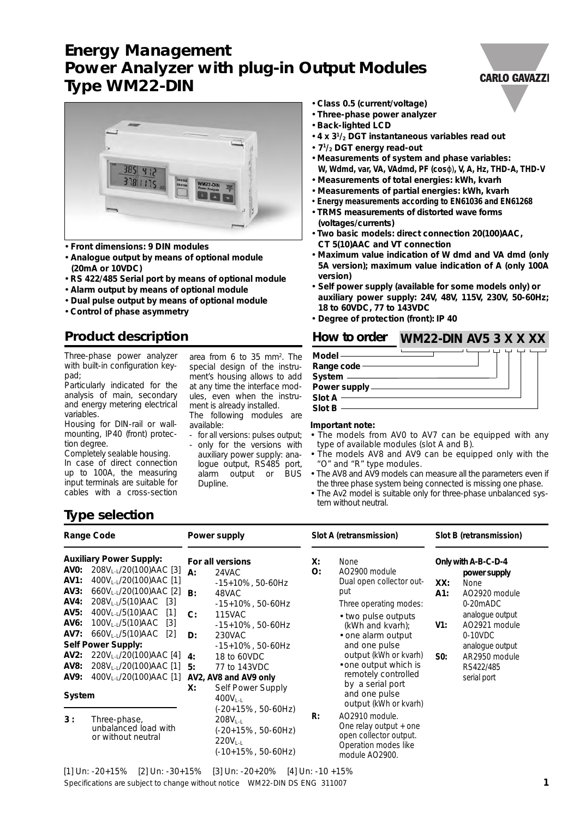# **Energy Management Power Analyzer with plug-in Output Modules Type WM22-DIN**



- **Front dimensions: 9 DIN modules**
- **Analogue output by means of optional module (20mA or 10VDC)**
- **RS 422/485 Serial port by means of optional module**
- **Alarm output by means of optional module**
- **Dual pulse output by means of optional module**
- **Control of phase asymmetry**

### **Product description**

Three-phase power analyzer with built-in configuration keypad;

Particularly indicated for the analysis of main, secondary and energy metering electrical variables.

Housing for DIN-rail or wallmounting, IP40 (front) protection degree.

Completely sealable housing. In case of direct connection up to 100A, the measuring input terminals are suitable for cables with a cross-section

area from 6 to 35 mm<sup>2</sup>. The special design of the instrument's housing allows to add at any time the interface modules, even when the instrument is already installed. The following modules are available:

- for all versions: pulses output;
- only for the versions with auxiliary power supply: analogue output, RS485 port, alarm output or BUS Dupline.
- **Class 0.5 (current/voltage)**
- **Three-phase power analyzer**
- **Back-lighted LCD**
- **4 x 31/2 DGT instantaneous variables read out**
- **71/2 DGT energy read-out**
- **Measurements of system and phase variables: W, Wdmd, var, VA, VAdmd, PF (cos**ϕ)**, V, A, Hz, THD-A, THD-V**
- **Measurements of total energies: kWh, kvarh**
- **Measurements of partial energies: kWh, kvarh**
- **Energy measurements according to EN61036 and EN61268**
- **TRMS measurements of distorted wave forms (voltages/currents)**
- **Two basic models: direct connection 20(100)AAC, CT 5(10)AAC and VT connection**
- **Maximum value indication of W dmd and VA dmd (only 5A version); maximum value indication of A (only 100A version)**
- **Self power supply (available for some models only) or auxiliary power supply: 24V, 48V, 115V, 230V, 50-60Hz; 18 to 60VDC, 77 to 143VDC**
- **Degree of protection (front): IP 40**

## **How to order WM22-DIN AV5 3 X X XX**

| $Model$ —      |  |  |
|----------------|--|--|
| Range code     |  |  |
| System —       |  |  |
| Power supply - |  |  |
| Slot $A -$     |  |  |
| Slot B         |  |  |

#### **Important note:**

- The models from AV0 to AV7 can be equipped with any type of available modules (slot A and B).
- The models AV8 and AV9 can be equipped only with the "O" and "R" type modules.
- The AV8 and AV9 models can measure all the parameters even if the three phase system being connected is missing one phase.
- The Av2 model is suitable only for three-phase unbalanced system without neutral.

### **Type selection**

|                                                                                                   | <b>Range Code</b>                                                                                                                                                                                                                                                                                                                                                        |                                      | Power supply                                                                                                                                                                                                      |                | Slot A (retransmission)                                                                                                                                                                                                                       |                          | Slot B (retransmission)                                                                                                                                                                    |
|---------------------------------------------------------------------------------------------------|--------------------------------------------------------------------------------------------------------------------------------------------------------------------------------------------------------------------------------------------------------------------------------------------------------------------------------------------------------------------------|--------------------------------------|-------------------------------------------------------------------------------------------------------------------------------------------------------------------------------------------------------------------|----------------|-----------------------------------------------------------------------------------------------------------------------------------------------------------------------------------------------------------------------------------------------|--------------------------|--------------------------------------------------------------------------------------------------------------------------------------------------------------------------------------------|
| AVO:<br><b>AV1:</b><br>AV3:<br><b>AV4:</b><br>AV5:<br>AV6:<br>AV7:<br>AV2:<br><b>AV8:</b><br>AV9: | <b>Auxiliary Power Supply:</b><br>208VL-L/20(100)AAC [3]<br>400VL-L/20(100)AAC [1]<br>660VL-L/20(100)AAC [2]<br>208VL-L/5(10)AAC<br>[3]<br>400VL-L/5(10)AAC<br>$[1]$<br>100V <sub>L-L</sub> /5(10)AAC<br>$[3]$<br>$660V_{L-L}/5(10)$ AAC<br>$\lceil 2 \rceil$<br><b>Self Power Supply:</b><br>220VL-L/20(100)AAC [4]<br>208VL-L/20(100)AAC [1]<br>400VL-L/20(100)AAC [1] | $A$ :<br>B:<br>C:<br>D:<br>-4:<br>5: | For all versions<br>24VAC<br>$-15+10\%$ , 50-60Hz<br>48VAC<br>$-15+10\%$ , 50-60Hz<br><b>115VAC</b><br>-15+10%, 50-60Hz<br>230VAC<br>$-15+10\%$ , 50-60Hz<br>18 to 60VDC<br>77 to 143VDC<br>AV2, AV8 and AV9 only | X:<br>O:       | None<br>AO2900 module<br>Dual open collector out-<br>put<br>Three operating modes:<br>• two pulse outputs<br>(kWh and kvarh);<br>• one alarm output<br>and one pulse<br>output (kWh or kvarh)<br>• one output which is<br>remotely controlled | XX:<br>A1:<br>V1:<br>S0: | Only with A-B-C-D-4<br>power supply<br>None<br>AO2920 module<br>0-20mADC<br>analogue output<br>AO2921 module<br>$0-10$ VDC<br>analoque output<br>AR2950 module<br>RS422/485<br>serial port |
| System                                                                                            |                                                                                                                                                                                                                                                                                                                                                                          | Х:                                   | Self Power Supply<br>$400V1-1$                                                                                                                                                                                    |                | by a serial port<br>and one pulse<br>output (kWh or kvarh)                                                                                                                                                                                    |                          |                                                                                                                                                                                            |
| 3:                                                                                                | Three-phase,<br>unbalanced load with<br>or without neutral                                                                                                                                                                                                                                                                                                               |                                      | (-20+15%, 50-60Hz)<br>$208V_{L-L}$<br>(-20+15%, 50-60Hz)<br>$220V_{L-L}$<br>(-10+15%, 50-60Hz)                                                                                                                    | $\mathsf{R}$ : | AO2910 module.<br>One relay output $+$ one<br>open collector output.<br>Operation modes like<br>module AO2900.                                                                                                                                |                          |                                                                                                                                                                                            |

### **CARLO GAVAZZI**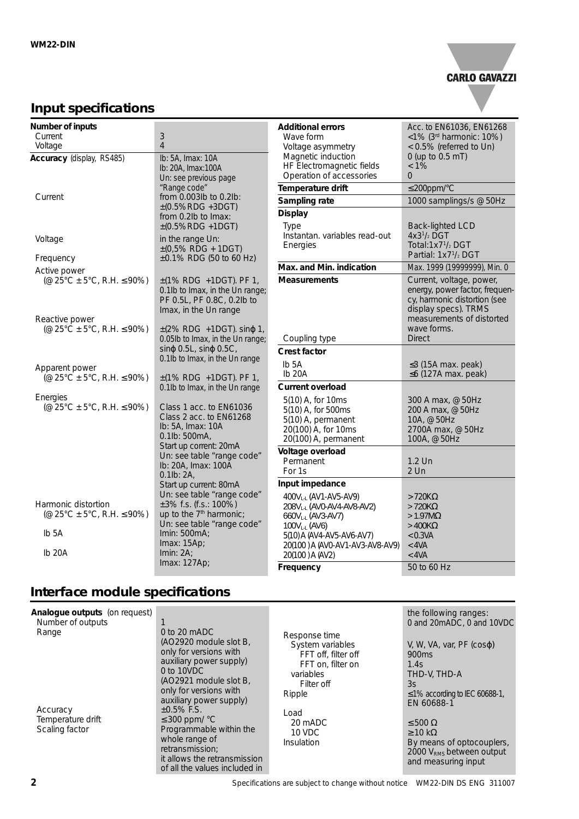

### **Input specifications**

| Number of inputs                          |                                                                            |                                            |                                                     |
|-------------------------------------------|----------------------------------------------------------------------------|--------------------------------------------|-----------------------------------------------------|
| Current                                   | 3                                                                          | <b>Additional errors</b><br>Wave form      | Acc. to EN61036, EN61268<br><1% (3rd harmonic: 10%) |
| Voltage                                   | $\overline{4}$                                                             | Voltage asymmetry                          | < 0.5% (referred to Un)                             |
| Accuracy (display, RS485)                 | Ib: 5A, Imax: 10A                                                          | Magnetic induction                         | 0 (up to 0.5 mT)                                    |
|                                           | Ib: 20A, Imax: 100A                                                        | HF Electromagnetic fields                  | $< 1\%$                                             |
|                                           | Un: see previous page                                                      | Operation of accessories                   | $\overline{0}$                                      |
|                                           | "Range code"                                                               | Temperature drift                          | $\leq$ 200ppm/°C                                    |
| Current                                   | from 0.003lb to 0.2lb:                                                     | Sampling rate                              | 1000 samplings/s @ 50Hz                             |
|                                           | $\pm (0.5\%$ RDG +3DGT)<br>from 0.2lb to Imax:                             | <b>Display</b>                             |                                                     |
|                                           | $\pm (0.5\%RDG + 1DGT)$                                                    | Type                                       | <b>Back-lighted LCD</b>                             |
| Voltage                                   | in the range Un:                                                           | Instantan. variables read-out              | $4x31/2$ DGT                                        |
|                                           | $\pm (0.5\% \text{ RDG} + 1\text{DGT})$                                    | Energies                                   | Total: $1x71/2$ DGT                                 |
| Frequency                                 | ±0.1% RDG (50 to 60 Hz)                                                    |                                            | Partial: 1x7 <sup>1</sup> / <sub>2</sub> DGT        |
| Active power                              |                                                                            | Max. and Min. indication                   | Max. 1999 (19999999), Min. 0                        |
| (@ 25°C ± 5°C, R.H. $\leq$ 90%)           | $\pm$ (1% RDG +1DGT). PF 1,                                                | <b>Measurements</b>                        | Current, voltage, power,                            |
|                                           | 0.1lb to Imax, in the Un range;                                            |                                            | energy, power factor, frequen-                      |
|                                           | PF 0.5L, PF 0.8C, 0.2lb to                                                 |                                            | cy, harmonic distortion (see                        |
|                                           | Imax, in the Un range                                                      |                                            | display specs). TRMS                                |
| Reactive power                            |                                                                            |                                            | measurements of distorted<br>wave forms.            |
| (@ $25^{\circ}$ C ± 5°C, R.H. $\leq$ 90%) | $\pm$ (2% RDG +1DGT). sin $\varphi$ 1,<br>0.05lb to Imax, in the Un range; | Coupling type                              | <b>Direct</b>                                       |
|                                           | $\sin\varphi$ 0.5L, $\sin\varphi$ 0.5C,                                    |                                            |                                                     |
|                                           | 0.1lb to Imax, in the Un range                                             | <b>Crest factor</b>                        |                                                     |
| Apparent power                            |                                                                            | Ib <sub>5</sub> A                          | $\leq$ 3 (15A max. peak)                            |
| $(@ 25°C + 5°C, R.H. \leq 90%)$           | $\pm$ (1% RDG +1DGT). PF 1,                                                | Ib <sub>20</sub> A                         | $\leq$ 6 (127A max. peak)                           |
|                                           | 0.1lb to Imax, in the Un range                                             | <b>Current overload</b>                    |                                                     |
| Energies                                  |                                                                            | 5(10) A, for 10ms                          | 300 A max, @ 50Hz                                   |
| (@ 25°C $\pm$ 5°C, R.H. $\leq$ 90%)       | Class 1 acc. to EN61036                                                    | 5(10) A, for 500ms                         | 200 A max, @ 50Hz                                   |
|                                           | Class 2 acc. to EN61268                                                    | 5(10) A, permanent                         | 10A, @ 50Hz                                         |
|                                           | Ib: 5A, Imax: 10A<br>0.1lb: 500mA,                                         | 20(100) A, for 10ms                        | 2700A max, @ 50Hz                                   |
|                                           | Start up corrent: 20mA                                                     | 20(100) A, permanent                       | 100A, @ 50Hz                                        |
|                                           | Un: see table "range code"                                                 | Voltage overload                           |                                                     |
|                                           | Ib: 20A, Imax: 100A                                                        | Permanent                                  | $1.2$ Un                                            |
|                                           | $0.1$ lb: $2A$ ,                                                           | For 1s                                     | $2$ Un                                              |
|                                           | Start up current: 80mA                                                     | Input impedance                            |                                                     |
| Harmonic distortion                       | Un: see table "range code"<br>$\pm 3\%$ f.s. (f.s.: 100%)                  | 400VL-L (AV1-AV5-AV9)                      | $>720K\Omega$                                       |
| (@ 25°C $\pm$ 5°C, R.H. $\leq$ 90%)       | up to the 7 <sup>th</sup> harmonic;                                        | 208VL-L (AVO-AV4-AV8-AV2)                  | $>720K\Omega$                                       |
|                                           | Un: see table "range code"                                                 | 660VL-L (AV3-AV7)                          | $>1.97M\Omega$<br>$>400K\Omega$                     |
| Ib <sub>5</sub> A                         | Imin: 500mA;                                                               | 100VL-L (AV6)<br>5(10) A (AV4-AV5-AV6-AV7) | < 0.3VA                                             |
|                                           | Imax: 15Ap;                                                                | 20(100) A (AVO-AV1-AV3-AV8-AV9)            | $<$ 4VA                                             |
| lb <sub>20</sub> A                        | Imin: $2A$ ;                                                               | 20(100) A (AV2)                            | $<$ 4VA                                             |
|                                           | Imax: 127Ap;                                                               | Frequency                                  | 50 to 60 Hz                                         |

# **Interface module specifications**

| Analogue outputs (on request)<br>Number of outputs<br>$0$ to 20 mADC<br>Range<br>(AO2920 module slot B,<br>only for versions with<br>auxiliary power supply)<br>$0$ to 10VDC<br>(AO2921 module slot B,<br>only for versions with<br>auxiliary power supply)<br>$±0.5\%$ F.S.<br>Accuracy<br>Temperature drift<br>$\leq$ 300 ppm/ $\degree$ C<br>Scaling factor<br>Programmable within the<br>whole range of<br>retransmission:<br>it allows the retransmission<br>of all the values included in | Response time<br>System variables<br>FFT off, filter off<br>FFT on, filter on<br>variables<br>Filter off<br>Ripple<br>Load<br>20 mADC<br>10 VDC<br>Insulation | the following ranges:<br>0 and 20mADC, 0 and 10VDC<br>V, W, VA, var, $PF$ ( $cos\varphi$ )<br>900 <sub>ms</sub><br>1.4s<br>THD-V, THD-A<br>3s<br>$\leq$ 1% according to IEC 60688-1,<br>EN 60688-1<br>$\leq 500 \Omega$<br>$\geq$ 10 kΩ<br>By means of optocouplers,<br>2000 V <sub>RMS</sub> between output<br>and measuring input |
|-------------------------------------------------------------------------------------------------------------------------------------------------------------------------------------------------------------------------------------------------------------------------------------------------------------------------------------------------------------------------------------------------------------------------------------------------------------------------------------------------|---------------------------------------------------------------------------------------------------------------------------------------------------------------|-------------------------------------------------------------------------------------------------------------------------------------------------------------------------------------------------------------------------------------------------------------------------------------------------------------------------------------|
|-------------------------------------------------------------------------------------------------------------------------------------------------------------------------------------------------------------------------------------------------------------------------------------------------------------------------------------------------------------------------------------------------------------------------------------------------------------------------------------------------|---------------------------------------------------------------------------------------------------------------------------------------------------------------|-------------------------------------------------------------------------------------------------------------------------------------------------------------------------------------------------------------------------------------------------------------------------------------------------------------------------------------|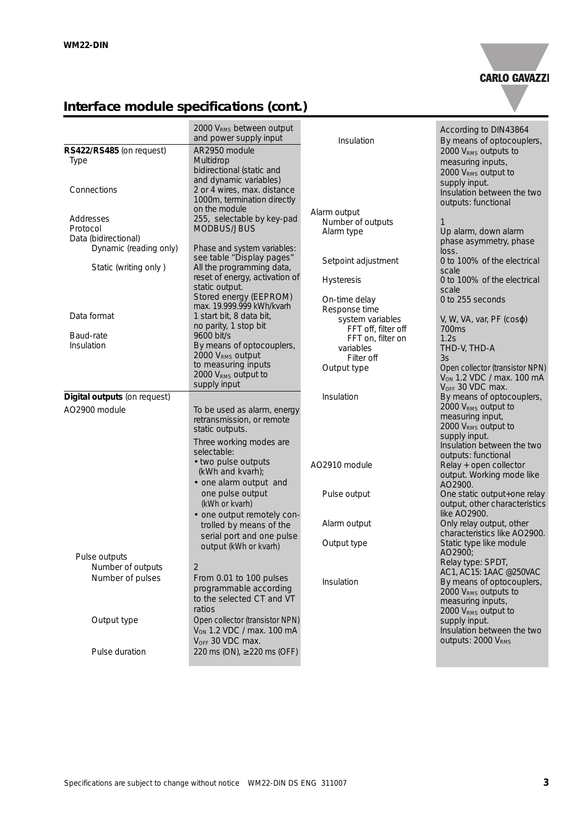

# **Interface module specifications (cont.)**

|                                                                         | 2000 VRMS between output<br>and power supply input                                                       | Insulation                                                                | According to DIN43864<br>By means of optocouplers,                                                                                               |
|-------------------------------------------------------------------------|----------------------------------------------------------------------------------------------------------|---------------------------------------------------------------------------|--------------------------------------------------------------------------------------------------------------------------------------------------|
| RS422/RS485 (on request)<br><b>Type</b>                                 | AR2950 module<br>Multidrop<br>bidirectional (static and<br>and dynamic variables)                        |                                                                           | 2000 V <sub>RMS</sub> outputs to<br>measuring inputs,<br>2000 VRMS output to<br>supply input.                                                    |
| Connections                                                             | 2 or 4 wires, max. distance<br>1000m, termination directly<br>on the module                              | Alarm output                                                              | Insulation between the two<br>outputs: functional                                                                                                |
| Addresses<br>Protocol<br>Data (bidirectional)<br>Dynamic (reading only) | 255, selectable by key-pad<br>MODBUS/JBUS<br>Phase and system variables:                                 | Number of outputs<br>Alarm type                                           | 1<br>Up alarm, down alarm<br>phase asymmetry, phase                                                                                              |
| Static (writing only)                                                   | see table "Display pages"<br>All the programming data,                                                   | Setpoint adjustment                                                       | loss.<br>0 to 100% of the electrical<br>scale                                                                                                    |
|                                                                         | reset of energy, activation of<br>static output.<br>Stored energy (EEPROM)                               | <b>Hysteresis</b>                                                         | 0 to 100% of the electrical<br>scale                                                                                                             |
| Data format                                                             | max. 19.999.999 kWh/kvarh<br>1 start bit, 8 data bit,                                                    | On-time delay<br>Response time                                            | 0 to 255 seconds<br>V, W, VA, var, PF $(cos \varphi)$                                                                                            |
| Baud-rate<br>Insulation                                                 | no parity, 1 stop bit<br>9600 bit/s<br>By means of optocouplers,                                         | system variables<br>FFT off, filter off<br>FFT on, filter on<br>variables | 700 <sub>ms</sub><br>1.2s<br>THD-V, THD-A                                                                                                        |
|                                                                         | 2000 V <sub>RMS</sub> output<br>to measuring inputs<br>2000 V <sub>RMS</sub> output to<br>supply input   | Filter off<br>Output type                                                 | 3s<br>Open collector (transistor NPN)<br>V <sub>ON</sub> 1.2 VDC / max. 100 mA<br>V <sub>OFF</sub> 30 VDC max.                                   |
| Digital outputs (on request)                                            |                                                                                                          | Insulation                                                                | By means of optocouplers,                                                                                                                        |
| AO2900 module                                                           | To be used as alarm, energy<br>retransmission, or remote<br>static outputs.                              |                                                                           | 2000 V <sub>RMS</sub> output to<br>measuring input,<br>2000 V <sub>RMS</sub> output to<br>supply input.                                          |
|                                                                         | Three working modes are<br>selectable:                                                                   |                                                                           | Insulation between the two<br>outputs: functional                                                                                                |
|                                                                         | • two pulse outputs<br>(kWh and kvarh);<br>• one alarm output and                                        | AO2910 module                                                             | Relay + open collector<br>output. Working mode like<br>AO2900.                                                                                   |
|                                                                         | one pulse output<br>(kWh or kvarh)                                                                       | Pulse output                                                              | One static output+one relay<br>output, other characteristics                                                                                     |
|                                                                         | • one output remotely con-<br>trolled by means of the<br>serial port and one pulse                       | Alarm output                                                              | like AO2900.<br>Only relay output, other<br>characteristics like AO2900.                                                                         |
|                                                                         | output (kWh or kvarh)                                                                                    | Output type                                                               | Static type like module<br>AO2900;                                                                                                               |
| Pulse outputs<br>Number of outputs                                      | 2                                                                                                        |                                                                           | Relay type: SPDT,                                                                                                                                |
| Number of pulses                                                        | From 0.01 to 100 pulses<br>programmable according<br>to the selected CT and VT<br>ratios                 | Insulation                                                                | AC1, AC15: 1AAC @250VAC<br>By means of optocouplers,<br>2000 V <sub>RMS</sub> outputs to<br>measuring inputs,<br>2000 V <sub>RMS</sub> output to |
| Output type                                                             | Open collector (transistor NPN)<br>V <sub>ON</sub> 1.2 VDC / max. 100 mA<br>V <sub>OFF</sub> 30 VDC max. |                                                                           | supply input.<br>Insulation between the two<br>outputs: 2000 VRMS                                                                                |
| Pulse duration                                                          | 220 ms (ON), $\geq$ 220 ms (OFF)                                                                         |                                                                           |                                                                                                                                                  |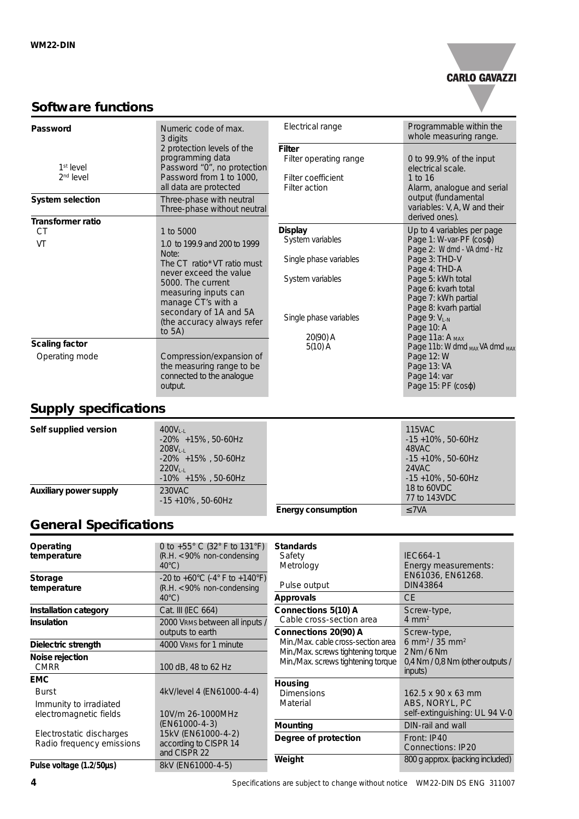

### **Software functions**

| Password                                | Numeric code of max.<br>3 digits                                                                                                                                                                                                                                | Electrical range                                                                                                         | Programmable within the<br>whole measuring range.                                                                                                                                                                                                                               |
|-----------------------------------------|-----------------------------------------------------------------------------------------------------------------------------------------------------------------------------------------------------------------------------------------------------------------|--------------------------------------------------------------------------------------------------------------------------|---------------------------------------------------------------------------------------------------------------------------------------------------------------------------------------------------------------------------------------------------------------------------------|
| $1st$ level<br>$2nd$ level              | 2 protection levels of the<br>programming data<br>Password "0", no protection<br>Password from 1 to 1000,<br>all data are protected                                                                                                                             | <b>Filter</b><br>Filter operating range<br>Filter coefficient<br>Filter action                                           | 0 to 99.9% of the input<br>electrical scale.<br>1 to 16<br>Alarm, analogue and serial                                                                                                                                                                                           |
| <b>System selection</b>                 | Three-phase with neutral<br>Three-phase without neutral                                                                                                                                                                                                         |                                                                                                                          | output (fundamental<br>variables: V, A, W and their<br>derived ones).                                                                                                                                                                                                           |
| <b>Transformer ratio</b>                |                                                                                                                                                                                                                                                                 |                                                                                                                          |                                                                                                                                                                                                                                                                                 |
| CT<br>VT                                | 1 to 5000<br>1.0 to 199.9 and 200 to 1999<br>Note:<br>The CT ratio <sup>*</sup> VT ratio must<br>never exceed the value<br>5000. The current<br>measuring inputs can<br>manage CT's with a<br>secondary of 1A and 5A<br>(the accuracy always refer<br>to $5A$ ) | <b>Display</b><br>System variables<br>Single phase variables<br>System variables<br>Single phase variables<br>$20(90)$ A | Up to 4 variables per page<br>Page 1: W-var-PF (coso)<br>Page 2: W dmd - VA dmd - Hz<br>Page 3: THD-V<br>Page 4: THD-A<br>Page 5: kWh total<br>Page 6: kvarh total<br>Page 7: kWh partial<br>Page 8: kvarh partial<br>Page 9: V <sub>L-N</sub><br>Page 10: A<br>Page 11a: A MAX |
| <b>Scaling factor</b><br>Operating mode | Compression/expansion of<br>the measuring range to be<br>connected to the analogue<br>output.                                                                                                                                                                   | $5(10)$ A                                                                                                                | Page 11b: W dmd MAX VA dmd MAX<br>Page 12: W<br>Page 13: VA<br>Page 14: var<br>Page $15$ : PF ( $cos\varphi$ )                                                                                                                                                                  |

# **Supply specifications**

| Self supplied version         | $400V1-1$<br>$-20\% +15\%$ , 50-60Hz<br>$208V_{\text{L}}$<br>$-20\%$ +15%, 50-60Hz<br>$220V_{\text{L}}$<br>$-10\% + 15\%$ , 50-60Hz |                           | <b>115VAC</b><br>$-15 + 10\%$ , 50-60Hz<br>48VAC<br>$-15 + 10\%$ , 50-60Hz<br>24VAC<br>$-15 + 10\%$ , 50-60Hz |
|-------------------------------|-------------------------------------------------------------------------------------------------------------------------------------|---------------------------|---------------------------------------------------------------------------------------------------------------|
| <b>Auxiliary power supply</b> | 230VAC<br>$-15 + 10\%$ , 50-60Hz                                                                                                    |                           | 18 to 60VDC<br>77 to 143VDC                                                                                   |
|                               |                                                                                                                                     | <b>Energy consumption</b> | $\leq$ 7VA                                                                                                    |

# **General Specifications**

| 0 to +55 $^{\circ}$ C (32 $^{\circ}$ F to 131 $^{\circ}$ F)<br><b>Standards</b><br>Operating<br>$(R.H. < 90\%$ non-condensing<br><b>IEC664-1</b><br>temperature<br>Safety<br>Metrology<br>$40^{\circ}$ C)<br>Energy measurements:<br>EN61036, EN61268.<br>$-20$ to $+60^{\circ}$ C ( $-4^{\circ}$ F to $+140^{\circ}$ F)<br><b>Storage</b><br>Pulse output<br><b>DIN43864</b><br>$(R.H. < 90\%$ non-condensing<br>temperature |  |
|-------------------------------------------------------------------------------------------------------------------------------------------------------------------------------------------------------------------------------------------------------------------------------------------------------------------------------------------------------------------------------------------------------------------------------|--|
|                                                                                                                                                                                                                                                                                                                                                                                                                               |  |
|                                                                                                                                                                                                                                                                                                                                                                                                                               |  |
|                                                                                                                                                                                                                                                                                                                                                                                                                               |  |
|                                                                                                                                                                                                                                                                                                                                                                                                                               |  |
|                                                                                                                                                                                                                                                                                                                                                                                                                               |  |
| <b>CE</b><br>$40^{\circ}$ C)<br><b>Approvals</b>                                                                                                                                                                                                                                                                                                                                                                              |  |
| Connections 5(10) A<br>Cat. III (IEC 664)<br><b>Installation category</b><br>Screw-type,                                                                                                                                                                                                                                                                                                                                      |  |
| $4 \text{ mm}^2$<br>Cable cross-section area<br>2000 VRMS between all inputs /<br><b>Insulation</b>                                                                                                                                                                                                                                                                                                                           |  |
| Connections 20(90) A<br>outputs to earth<br>Screw-type,                                                                                                                                                                                                                                                                                                                                                                       |  |
| Min./Max. cable cross-section area<br>6 mm <sup>2</sup> /35 mm <sup>2</sup><br>4000 VRMS for 1 minute<br>Dielectric strength                                                                                                                                                                                                                                                                                                  |  |
| Min./Max. screws tightening torque<br>2 Nm / 6 Nm<br>Noise rejection                                                                                                                                                                                                                                                                                                                                                          |  |
| Min./Max. screws tightening torque<br>0,4 Nm / 0,8 Nm (other outputs /<br><b>CMRR</b><br>100 dB, 48 to 62 Hz<br>inputs)                                                                                                                                                                                                                                                                                                       |  |
| <b>EMC</b><br>Housing                                                                                                                                                                                                                                                                                                                                                                                                         |  |
| 4kV/level 4 (EN61000-4-4)<br><b>Burst</b><br>162.5 x 90 x 63 mm<br><b>Dimensions</b>                                                                                                                                                                                                                                                                                                                                          |  |
| ABS, NORYL, PC<br>Material<br>Immunity to irradiated                                                                                                                                                                                                                                                                                                                                                                          |  |
| self-extinguishing: UL 94 V-0<br>electromagnetic fields<br>10V/m 26-1000MHz                                                                                                                                                                                                                                                                                                                                                   |  |
| (EN61000-4-3)<br>DIN-rail and wall<br>Mounting                                                                                                                                                                                                                                                                                                                                                                                |  |
| 15kV (EN61000-4-2)<br>Electrostatic discharges                                                                                                                                                                                                                                                                                                                                                                                |  |
| Degree of protection<br>Front: IP40<br>Radio frequency emissions<br>according to CISPR 14                                                                                                                                                                                                                                                                                                                                     |  |
| <b>Connections: IP20</b><br>and CISPR 22                                                                                                                                                                                                                                                                                                                                                                                      |  |
| Weight<br>800 g approx. (packing included)<br>8kV (EN61000-4-5)<br>Pulse voltage (1.2/50µs)                                                                                                                                                                                                                                                                                                                                   |  |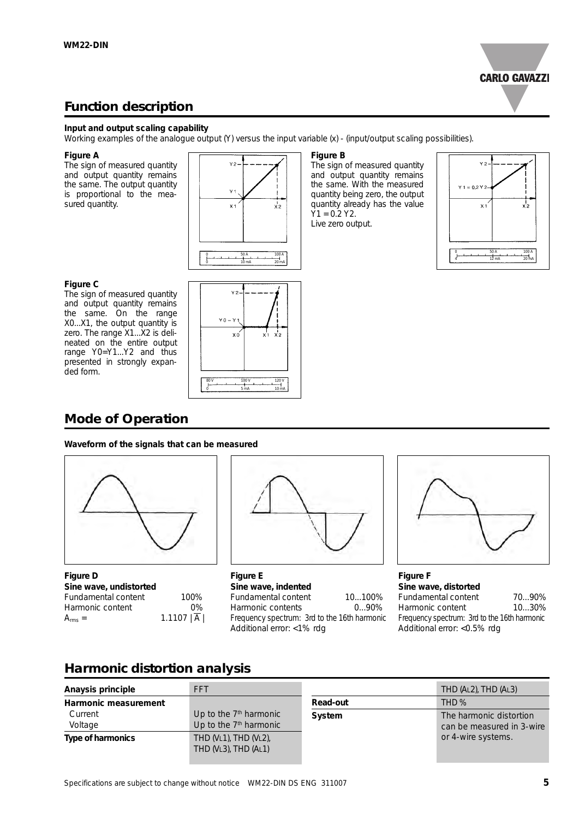

### **Function description**

#### **Input and output scaling capability**

Working examples of the analogue output (Y) versus the input variable (x) - (input/output scaling possibilities).

#### **Figure A**

The sign of measured quantity and output quantity remains the same. The output quantity is proportional to the measured quantity.



#### **Figure C**

The sign of measured quantity and output quantity remains the same. On the range X0...X1, the output quantity is zero. The range X1...X2 is delineated on the entire output range Y0=Y1...Y2 and thus presented in strongly expanded form.



#### **Figure B**

The sign of measured quantity and output quantity remains the same. With the measured quantity being zero, the output quantity already has the value  $Y1 = 0.2 Y2$ . Live zero output.



**Mode of Operation**

### **Waveform of the signals that can be measured**



**Figure D Sine wave, undistorted**  Fundamental content 100% Harmonic content 0%  $A_{rms} = 1.1107 |\overline{A}|$ 



**Figure E Sine wave, indented** Fundamental content 10...100%<br>Harmonic contents 0...90% Harmonic contents Frequency spectrum: 3rd to the 16th harmonic Additional error: <1% rdg



**Figure F Sine wave, distorted**  Fundamental content 70...90% Harmonic content 10...30% Frequency spectrum: 3rd to the 16th harmonic Additional error: <0.5% rdg

### **Harmonic distortion analysis**

| Anaysis principle        | <b>FFT</b>                                                     |          | THD (AL2), THD (AL3)                                 |
|--------------------------|----------------------------------------------------------------|----------|------------------------------------------------------|
| Harmonic measurement     |                                                                | Read-out | THD <sub>%</sub>                                     |
| Current<br>Voltage       | Up to the $7th$ harmonic<br>Up to the 7 <sup>th</sup> harmonic | System   | The harmonic distortion<br>can be measured in 3-wire |
| <b>Type of harmonics</b> | THD (VL1), THD (VL2),<br>THD (VL3), THD (AL1)                  |          | or 4-wire systems.                                   |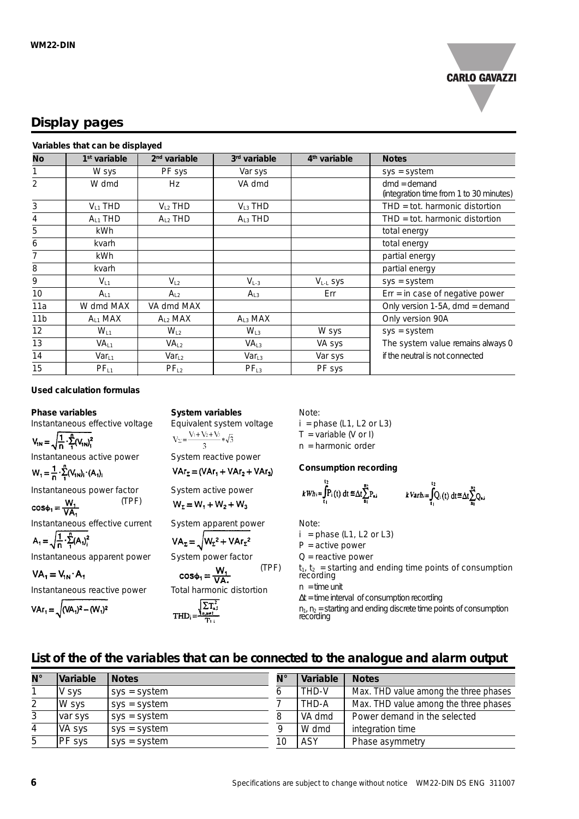

### **Display pages**

#### **Variables that can be displayed**

| No              | 1 <sup>st</sup> variable | 2 <sup>nd</sup> variable | 3rd variable      | 4 <sup>th</sup> variable | <b>Notes</b>                                              |
|-----------------|--------------------------|--------------------------|-------------------|--------------------------|-----------------------------------------------------------|
|                 | W sys                    | PF sys                   | Var sys           |                          | $sys = system$                                            |
| 2               | W dmd                    | Hz                       | VA dmd            |                          | $dmd =$ demand<br>(integration time from 1 to 30 minutes) |
| 3               | $V_{11}$ THD             | $V_{L2}$ THD             | $VL3$ THD         |                          | THD = tot. harmonic distortion                            |
| 4               | $A_{11}$ THD             | $A_{L2}$ THD             | $A_{L3}$ THD      |                          | $THD = tot.$ harmonic distortion                          |
| 5               | kWh                      |                          |                   |                          | total energy                                              |
| 6               | kvarh                    |                          |                   |                          | total energy                                              |
| 7               | kWh                      |                          |                   |                          | partial energy                                            |
| 8               | kvarh                    |                          |                   |                          | partial energy                                            |
| 9               | $V_{L1}$                 | $V_{L2}$                 | $V_{L-3}$         | V <sub>L-L</sub> SyS     | $sys = system$                                            |
| 10              | $A_{L1}$                 | $A_{L2}$                 | $A_{L3}$          | Err                      | $Err = in case of negative power$                         |
| 11a             | W dmd MAX                | VA dmd MAX               |                   |                          | Only version 1-5A, dmd = demand                           |
| 11 <sub>b</sub> | $A_{11}$ MAX             | $A_{L2}$ MAX             | $A_{L3}$ MAX      |                          | Only version 90A                                          |
| 12              | $W_{L1}$                 | $W_{L2}$                 | $W_{L3}$          | W sys                    | $sys = system$                                            |
| 13              | VA <sub>11</sub>         | VA <sub>L2</sub>         | VA <sub>13</sub>  | VA sys                   | The system value remains always 0                         |
| 14              | $Var_{L1}$               | Var <sub>L2</sub>        | Var <sub>L3</sub> | Var sys                  | if the neutral is not connected                           |
| 15              | $PF_{L1}$                | PF <sub>L2</sub>         | PF <sub>L3</sub>  | PF sys                   |                                                           |

#### **Used calculation formulas**

#### **Phase variables**

Instantaneous effective voltage

 $V_{1N} = \sqrt{\frac{1}{n} \cdot \sum_{i=1}^{n} (V_{1N})_{i}^{2}}$ Instantaneous active power

 $W_1 = \frac{1}{n} \cdot \sum_{i=1}^{n} (V_{1N})_i \cdot (A_1)_i$ 

(TPF)

Instantaneous power factor<br>  $\cos \phi_1 = \frac{W_1}{VA_1}$  (TPF

Instantaneous effective current

 $A_1 = \sqrt{\frac{1}{n} \cdot \sum_{i=1}^{n} (A_i)^2_i}$ 

Instantaneous apparent power

 $VA_1 = V_{1N} \cdot A_1$ Instantaneous reactive power

$$
VAr_{1} = \sqrt{(VA_{1})^{2} - (W_{1})^{2}}
$$

**System variables** Equivalent system voltage<br>  $V_{\Sigma} = \frac{V_1 + V_2 + V_3}{3} * \sqrt{3}$ System reactive power

 $VAr_{2} = (VAr_{1} + VAr_{2} + VAr_{3})$ 

System active power

 $W_2 = W_1 + W_2 + W_3$ 

System apparent power - 6

$$
VA_{\Sigma} = \sqrt{W_{\Sigma}^2 + VAr_{\Sigma}^2}
$$

System power factor (TPF)  $cos\phi_1 = \frac{W_1}{VA}$ 

Total harmonic distortion

$$
THD_i = \frac{\sqrt{\sum T_{n,i}^2}}{T_{i,i}}
$$

Note:

 $i =$  phase (L1, L2 or L3)  $T = \text{variable}$  (V or I) n = harmonic order

### **Consumption recording**

$$
k\,W h:=\int_{t_1}^{t_2} P_i(t) \, dt \leq \Delta t \sum_{n_1}^{n_2} P_{n,i} \qquad k\,Var h:=\int_{t_1}^{t_2} Q_i(t) \, dt \leq \Delta t \sum_{n_1}^{n_2} Q_{n,i}
$$

Note:

 $i =$  phase (L1, L2 or L3)

 $P =$  active power

 $Q$  = reactive power

 $t_1$ ,  $t_2$  = starting and ending time points of consumption recording  $n =$  time unit

∆t = time interval of consumption recording  $n_1$ ,  $n_2$  = starting and ending discrete time points of consumption recording

### **List of the of the variables that can be connected to the analogue and alarm output**

| N° | Variable      | <b>Notes</b>   | N° | Variable   | <b>Notes</b>                          |
|----|---------------|----------------|----|------------|---------------------------------------|
|    | V sys         | $sys = system$ |    | THD-V      | Max. THD value among the three phases |
|    | W sys         | $sys = system$ |    | THD-A      | Max. THD value among the three phases |
|    | var sys       | $sys = system$ |    | VA dmd     | Power demand in the selected          |
| 4  | VA sys        | sys = system   |    | W dmd      | integration time                      |
| -5 | <b>PF</b> sys | $sys = system$ | 10 | <b>ASY</b> | Phase asymmetry                       |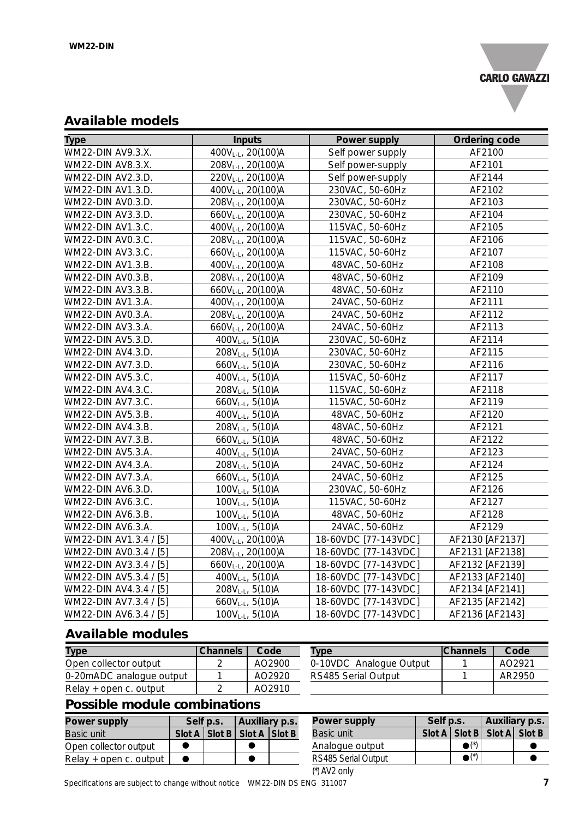

### **Available models**

| <b>Type</b>            | <b>Inputs</b>                  | Power supply         | Ordering code   |
|------------------------|--------------------------------|----------------------|-----------------|
| WM22-DIN AV9.3.X.      | 400VL-L, 20(100)A              | Self power supply    | AF2100          |
| WM22-DIN AV8.3.X.      | 208VL-L, 20(100)A              | Self power-supply    | AF2101          |
| WM22-DIN AV2.3.D.      | 220VL-L, 20(100)A              | Self power-supply    | AF2144          |
| WM22-DIN AV1.3.D.      | 400V <sub>L-L</sub> , 20(100)A | 230VAC, 50-60Hz      | AF2102          |
| WM22-DIN AV0.3.D.      | 208VL-L, 20(100)A              | 230VAC, 50-60Hz      | AF2103          |
| WM22-DIN AV3.3.D.      | 660VL-L, 20(100)A              | 230VAC, 50-60Hz      | AF2104          |
| WM22-DIN AV1.3.C.      | 400V <sub>L-L</sub> , 20(100)A | 115VAC, 50-60Hz      | AF2105          |
| WM22-DIN AV0.3.C.      | 208VL-L, 20(100)A              | 115VAC, 50-60Hz      | AF2106          |
| WM22-DIN AV3.3.C.      | 660VL-L, 20(100)A              | 115VAC, 50-60Hz      | AF2107          |
| WM22-DIN AV1.3.B.      | 400VL-L, 20(100)A              | 48VAC, 50-60Hz       | AF2108          |
| WM22-DIN AV0.3.B.      | 208VL-L, 20(100)A              | 48VAC, 50-60Hz       | AF2109          |
| WM22-DIN AV3.3.B.      | 660VL-L, 20(100)A              | 48VAC, 50-60Hz       | AF2110          |
| WM22-DIN AV1.3.A.      | 400VL-L, 20(100)A              | 24VAC, 50-60Hz       | AF2111          |
| WM22-DIN AV0.3.A.      | 208VL-L, 20(100)A              | 24VAC, 50-60Hz       | AF2112          |
| WM22-DIN AV3.3.A.      | 660VL-L, 20(100)A              | 24VAC, 50-60Hz       | AF2113          |
| WM22-DIN AV5.3.D.      | 400V <sub>L-L</sub> , 5(10)A   | 230VAC, 50-60Hz      | AF2114          |
| WM22-DIN AV4.3.D.      | 208V <sub>L-L</sub> , 5(10)A   | 230VAC, 50-60Hz      | AF2115          |
| WM22-DIN AV7.3.D.      | 660VL-L, 5(10)A                | 230VAC, 50-60Hz      | AF2116          |
| WM22-DIN AV5.3.C.      | 400V <sub>L-L</sub> , 5(10)A   | 115VAC, 50-60Hz      | AF2117          |
| WM22-DIN AV4.3.C.      | 208V <sub>L-L</sub> , 5(10)A   | 115VAC, 50-60Hz      | AF2118          |
| WM22-DIN AV7.3.C.      | $660V_{L-L}$ , 5(10)A          | 115VAC, 50-60Hz      | AF2119          |
| WM22-DIN AV5.3.B.      | 400VL-L, 5(10)A                | 48VAC, 50-60Hz       | AF2120          |
| WM22-DIN AV4.3.B.      | 208VL-L, 5(10)A                | 48VAC, 50-60Hz       | AF2121          |
| WM22-DIN AV7.3.B.      | 660V <sub>L-L</sub> , 5(10)A   | 48VAC, 50-60Hz       | AF2122          |
| WM22-DIN AV5.3.A.      | 400V <sub>L-L</sub> , 5(10)A   | 24VAC, 50-60Hz       | AF2123          |
| WM22-DIN AV4.3.A.      | 208VL-L, 5(10)A                | 24VAC, 50-60Hz       | AF2124          |
| WM22-DIN AV7.3.A.      | 660VL-L, 5(10)A                | 24VAC, 50-60Hz       | AF2125          |
| WM22-DIN AV6.3.D.      | 100V <sub>L-L</sub> , 5(10)A   | 230VAC, 50-60Hz      | AF2126          |
| WM22-DIN AV6.3.C.      | 100V <sub>L-L</sub> , 5(10)A   | 115VAC, 50-60Hz      | AF2127          |
| WM22-DIN AV6.3.B.      | 100V <sub>L-L</sub> , 5(10)A   | 48VAC, 50-60Hz       | AF2128          |
| WM22-DIN AV6.3.A.      | 100VL-L, 5(10)A                | 24VAC, 50-60Hz       | AF2129          |
| WM22-DIN AV1.3.4 / [5] | 400VL-L, 20(100)A              | 18-60VDC [77-143VDC] | AF2130 [AF2137] |
| WM22-DIN AV0.3.4 / [5] | 208V <sub>L-L</sub> , 20(100)A | 18-60VDC [77-143VDC] | AF2131 [AF2138] |
| WM22-DIN AV3.3.4 / [5] | 660VL-L, 20(100)A              | 18-60VDC [77-143VDC] | AF2132 [AF2139] |
| WM22-DIN AV5.3.4 / [5] | 400VL-L, 5(10)A                | 18-60VDC [77-143VDC] | AF2133 [AF2140] |
| WM22-DIN AV4.3.4 / [5] | 208V <sub>L-L</sub> , 5(10)A   | 18-60VDC [77-143VDC] | AF2134 [AF2141] |
| WM22-DIN AV7.3.4 / [5] | 660V <sub>L-L</sub> , 5(10)A   | 18-60VDC [77-143VDC] | AF2135 [AF2142] |
| WM22-DIN AV6.3.4 / [5] | 100V <sub>L-L</sub> , 5(10)A   | 18-60VDC [77-143VDC] | AF2136 [AF2143] |

### **Available modules**

| <b>Type</b>              | <b>Channels</b> | Code   | Type                    | <b>Channels</b> | Code               |
|--------------------------|-----------------|--------|-------------------------|-----------------|--------------------|
| Open collector output    |                 | AO2900 | 0-10VDC Analogue Output |                 | AO <sub>2921</sub> |
| 0-20mADC analogue output |                 | AO2920 | RS485 Serial Output     |                 | AR2950             |
| Relay + open c. output   |                 | AO2910 |                         |                 |                    |

### **Possible module combinations**

| <b>Power supply</b>    | Self p.s. |  | Auxiliary p.s.                    |  | <b>Powe</b>  |  |
|------------------------|-----------|--|-----------------------------------|--|--------------|--|
| Basic unit             |           |  | Slot A   Slot B   Slot A   Slot B |  | <b>Basic</b> |  |
| Open collector output  |           |  |                                   |  | Analo        |  |
| Relay + open c. output |           |  | œ                                 |  | RS48!        |  |

| <b>Power supply</b> | Self p.s. |                          | <b>Auxiliary p.s.</b>             |  |  |
|---------------------|-----------|--------------------------|-----------------------------------|--|--|
| <b>Basic unit</b>   |           |                          | Slot A   Slot B   Slot A   Slot B |  |  |
| Analogue output     |           | $\bullet$ $(^\star)$     |                                   |  |  |
| RS485 Serial Output |           | $\bullet$ <sup>(*)</sup> |                                   |  |  |
| $(*)$ AV2 only      |           |                          |                                   |  |  |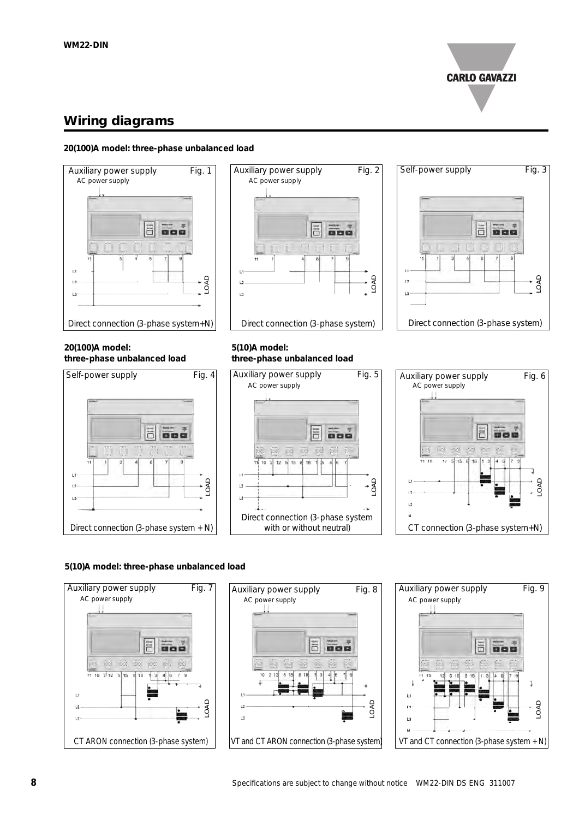

### **Wiring diagrams**

#### **20(100)A model: three-phase unbalanced load**







#### **20(100)A model: three-phase unbalanced load**



#### **5(10)A model: three-phase unbalanced load**





#### **5(10)A model: three-phase unbalanced load**





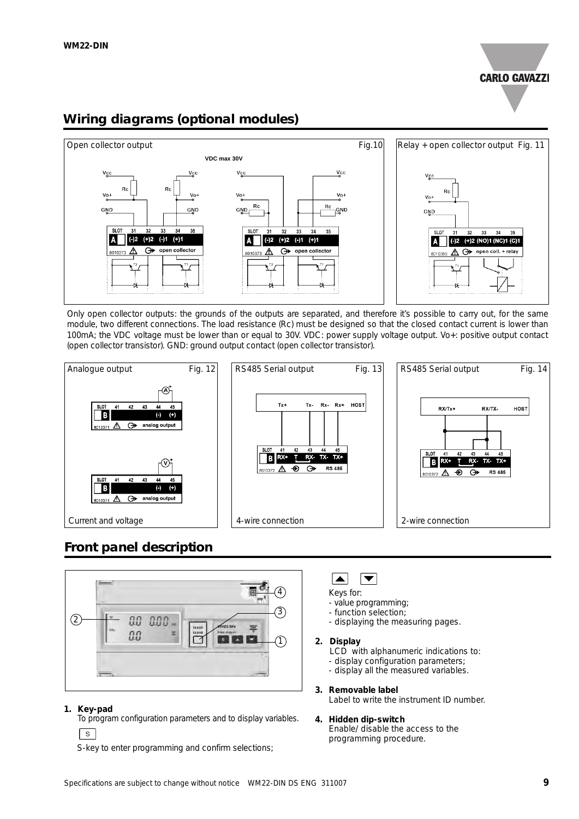

### **Wiring diagrams (optional modules)**



Only open collector outputs: the grounds of the outputs are separated, and therefore it's possible to carry out, for the same module, two different connections. The load resistance (Rc) must be designed so that the closed contact current is lower than 100mA; the VDC voltage must be lower than or equal to 30V. VDC: power supply voltage output. Vo+: positive output contact (open collector transistor). GND: ground output contact (open collector transistor).



### **Front panel description**



#### **1. Key-pad**

To program configuration parameters and to display variables.  $S$ 

S-key to enter programming and confirm selections;

#### $\overline{\blacktriangledown}$  $\blacktriangle$

Keys for:

- value programming;
- function selection;
- displaying the measuring pages.

#### **2. Display**

- LCD with alphanumeric indications to:
- display configuration parameters;
- display all the measured variables.

#### **3. Removable label**

Label to write the instrument ID number.

#### **4. Hidden dip-switch** Enable/ disable the access to the

programming procedure.